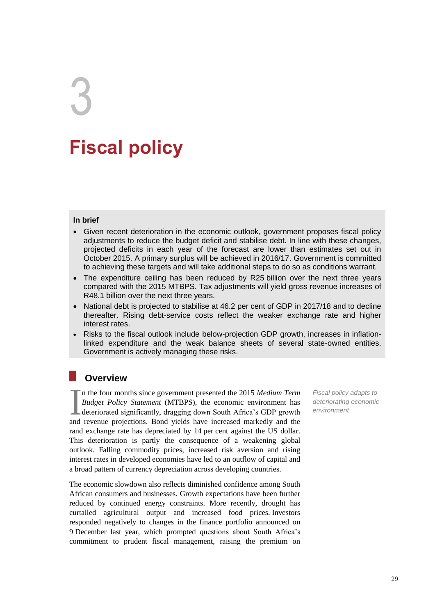# **Fiscal policy**

## **In brief**

3

- Given recent deterioration in the economic outlook, government proposes fiscal policy adjustments to reduce the budget deficit and stabilise debt. In line with these changes, projected deficits in each year of the forecast are lower than estimates set out in October 2015. A primary surplus will be achieved in 2016/17. Government is committed to achieving these targets and will take additional steps to do so as conditions warrant.
- The expenditure ceiling has been reduced by R25 billion over the next three years compared with the 2015 MTBPS. Tax adjustments will yield gross revenue increases of R48.1 billion over the next three years.
- National debt is projected to stabilise at 46.2 per cent of GDP in 2017/18 and to decline thereafter. Rising debt-service costs reflect the weaker exchange rate and higher interest rates.
- Risks to the fiscal outlook include below-projection GDP growth, increases in inflationlinked expenditure and the weak balance sheets of several state-owned entities. Government is actively managing these risks.

## **Overview**

n the four months since government presented the 2015 *Medium Term Budget Policy Statement* (MTBPS), the economic environment has deteriorated significantly, dragging down South Africa's GDP growth and revenue projections. Bond yields have increased markedly and the rand exchange rate has depreciated by 14 per cent against the US dollar. This deterioration is partly the consequence of a weakening global outlook. Falling commodity prices, increased risk aversion and rising interest rates in developed economies have led to an outflow of capital and a broad pattern of currency depreciation across developing countries.  $\prod_{\text{and}}$ 

The economic slowdown also reflects diminished confidence among South African consumers and businesses. Growth expectations have been further reduced by continued energy constraints. More recently, drought has curtailed agricultural output and increased food prices. Investors responded negatively to changes in the finance portfolio announced on 9 December last year, which prompted questions about South Africa's commitment to prudent fiscal management, raising the premium on

*Fiscal policy adapts to deteriorating economic environment*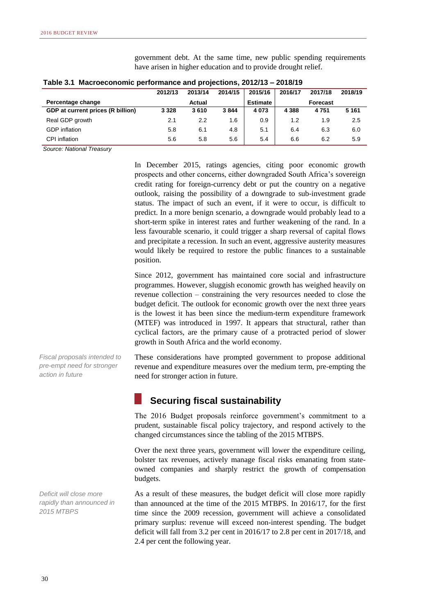| Table 3.1 Macroeconomic performance and projections, 2012/13 – 2018/19 |         |        |      |                 |         |                 |         |
|------------------------------------------------------------------------|---------|--------|------|-----------------|---------|-----------------|---------|
| 2014/15<br>2015/16<br>2013/14<br>2016/17<br>2017/18<br>2012/13         |         |        |      |                 |         |                 | 2018/19 |
| Percentage change                                                      |         | Actual |      | <b>Estimate</b> |         | <b>Forecast</b> |         |
| GDP at current prices (R billion)                                      | 3 3 2 8 | 3610   | 3844 | 4 0 7 3         | 4 3 8 8 | 4751            | 5 1 6 1 |
| Real GDP growth                                                        | 2.1     | 2.2    | 1.6  | 0.9             | 1.2     | 1.9             | 2.5     |
| <b>GDP</b> inflation                                                   | 5.8     | 6.1    | 4.8  | 5.1             | 6.4     | 6.3             | 6.0     |
| CPI inflation                                                          | 5.6     | 5.8    | 5.6  | 5.4             | 6.6     | 6.2             | 5.9     |

government debt. At the same time, new public spending requirements have arisen in higher education and to provide drought relief.

*Source: National Treasury*

In December 2015, ratings agencies, citing poor economic growth prospects and other concerns, either downgraded South Africa's sovereign credit rating for foreign-currency debt or put the country on a negative outlook, raising the possibility of a downgrade to sub-investment grade status. The impact of such an event, if it were to occur, is difficult to predict. In a more benign scenario, a downgrade would probably lead to a short-term spike in interest rates and further weakening of the rand. In a less favourable scenario, it could trigger a sharp reversal of capital flows and precipitate a recession. In such an event, aggressive austerity measures would likely be required to restore the public finances to a sustainable position.

Since 2012, government has maintained core social and infrastructure programmes. However, sluggish economic growth has weighed heavily on revenue collection – constraining the very resources needed to close the budget deficit. The outlook for economic growth over the next three years is the lowest it has been since the medium-term expenditure framework (MTEF) was introduced in 1997. It appears that structural, rather than cyclical factors, are the primary cause of a protracted period of slower growth in South Africa and the world economy.

*Fiscal proposals intended to pre-empt need for stronger action in future*

These considerations have prompted government to propose additional revenue and expenditure measures over the medium term, pre-empting the need for stronger action in future.

## **Securing fiscal sustainability**

The 2016 Budget proposals reinforce government's commitment to a prudent, sustainable fiscal policy trajectory, and respond actively to the changed circumstances since the tabling of the 2015 MTBPS.

Over the next three years, government will lower the expenditure ceiling, bolster tax revenues, actively manage fiscal risks emanating from stateowned companies and sharply restrict the growth of compensation budgets.

As a result of these measures, the budget deficit will close more rapidly than announced at the time of the 2015 MTBPS. In 2016/17, for the first time since the 2009 recession, government will achieve a consolidated primary surplus: revenue will exceed non-interest spending. The budget deficit will fall from 3.2 per cent in 2016/17 to 2.8 per cent in 2017/18, and 2.4 per cent the following year.

*Deficit will close more rapidly than announced in 2015 MTBPS*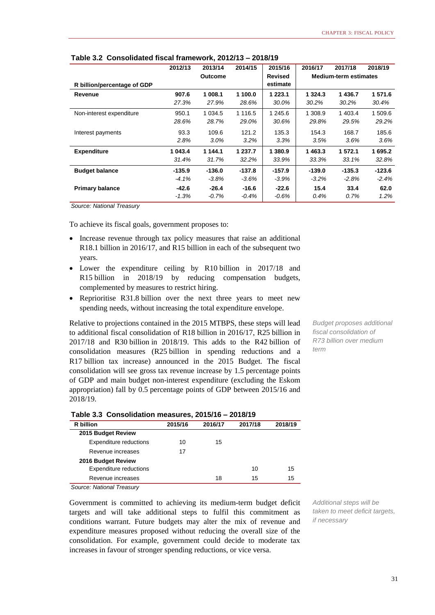|                             | 2012/13  | 2013/14        | 2014/15     | 2015/16        | 2016/17     | 2017/18                      | 2018/19  |
|-----------------------------|----------|----------------|-------------|----------------|-------------|------------------------------|----------|
|                             |          | <b>Outcome</b> |             | <b>Revised</b> |             | <b>Medium-term estimates</b> |          |
| R billion/percentage of GDP |          |                |             | estimate       |             |                              |          |
| Revenue                     | 907.6    | 1 008.1        | 1 100.0     | 1 223.1        | 1 3 2 4 . 3 | 1436.7                       | 1 571.6  |
|                             | 27.3%    | 27.9%          | 28.6%       | 30.0%          | 30.2%       | 30.2%                        | 30.4%    |
| Non-interest expenditure    | 950.1    | 1 0 34.5       | 1 1 1 6 . 5 | 1 245.6        | 1 308.9     | 1 403.4                      | 1 509.6  |
|                             | 28.6%    | 28.7%          | 29.0%       | 30.6%          | 29.8%       | 29.5%                        | 29.2%    |
| Interest payments           | 93.3     | 109.6          | 121.2       | 135.3          | 154.3       | 168.7                        | 185.6    |
|                             | 2.8%     | $3.0\%$        | $3.2\%$     | 3.3%           | 3.5%        | $3.6\%$                      | 3.6%     |
| <b>Expenditure</b>          | 1 043.4  | 1 144.1        | 1 237.7     | 1 380.9        | 1463.3      | 1 572.1                      | 1 695.2  |
|                             | 31.4%    | 31.7%          | 32.2%       | 33.9%          | 33.3%       | 33.1%                        | 32.8%    |
| <b>Budget balance</b>       | $-135.9$ | $-136.0$       | $-137.8$    | $-157.9$       | $-139.0$    | $-135.3$                     | $-123.6$ |
|                             | $-4.1\%$ | $-3.8\%$       | $-3.6\%$    | $-3.9%$        | $-3.2\%$    | $-2.8\%$                     | $-2.4%$  |
| <b>Primary balance</b>      | -42.6    | $-26.4$        | $-16.6$     | $-22.6$        | 15.4        | 33.4                         | 62.0     |
|                             | $-1.3%$  | $-0.7\%$       | $-0.4%$     | $-0.6\%$       | 0.4%        | $0.7\%$                      | $1.2\%$  |

## **Table 3.2 Consolidated fiscal framework, 2012/13 – 2018/19**

*Source: National Treasury*

To achieve its fiscal goals, government proposes to:

- Increase revenue through tax policy measures that raise an additional R18.1 billion in 2016/17, and R15 billion in each of the subsequent two years.
- Lower the expenditure ceiling by R10 billion in 2017/18 and R15 billion in 2018/19 by reducing compensation budgets, complemented by measures to restrict hiring.
- Reprioritise R31.8 billion over the next three years to meet new spending needs, without increasing the total expenditure envelope.

Relative to projections contained in the 2015 MTBPS, these steps will lead to additional fiscal consolidation of R18 billion in 2016/17, R25 billion in 2017/18 and R30 billion in 2018/19. This adds to the R42 billion of consolidation measures (R25 billion in spending reductions and a R17 billion tax increase) announced in the 2015 Budget. The fiscal consolidation will see gross tax revenue increase by 1.5 percentage points of GDP and main budget non-interest expenditure (excluding the Eskom appropriation) fall by 0.5 percentage points of GDP between 2015/16 and 2018/19.

*Budget proposes additional fiscal consolidation of R73 billion over medium term*

| R billion                     | 2015/16 | 2016/17 | 2017/18 | 2018/19 |
|-------------------------------|---------|---------|---------|---------|
| 2015 Budget Review            |         |         |         |         |
| <b>Expenditure reductions</b> | 10      | 15      |         |         |
| Revenue increases             | 17      |         |         |         |
| 2016 Budget Review            |         |         |         |         |
| Expenditure reductions        |         |         | 10      | 15      |
| Revenue increases             |         | 18      | 15      | 15      |

**Table 3.3 Consolidation measures, 2015/16 – 2018/19**

*Source: National Treasury*

Government is committed to achieving its medium-term budget deficit targets and will take additional steps to fulfil this commitment as conditions warrant. Future budgets may alter the mix of revenue and expenditure measures proposed without reducing the overall size of the consolidation. For example, government could decide to moderate tax increases in favour of stronger spending reductions, or vice versa.

*Additional steps will be taken to meet deficit targets, if necessary*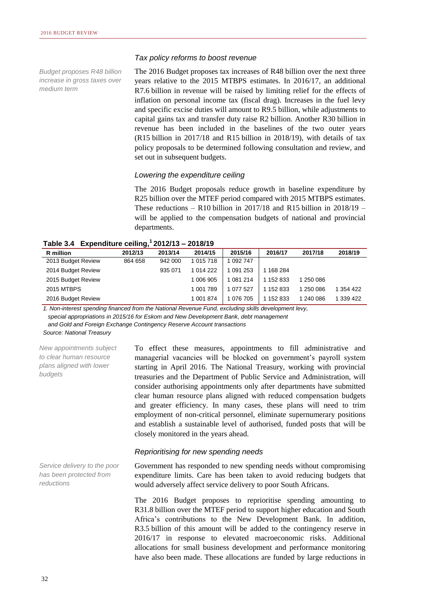*Budget proposes R48 billion increase in gross taxes over medium term*

#### *Tax policy reforms to boost revenue*

The 2016 Budget proposes tax increases of R48 billion over the next three years relative to the 2015 MTBPS estimates. In 2016/17, an additional R7.6 billion in revenue will be raised by limiting relief for the effects of inflation on personal income tax (fiscal drag). Increases in the fuel levy and specific excise duties will amount to R9.5 billion, while adjustments to capital gains tax and transfer duty raise R2 billion. Another R30 billion in revenue has been included in the baselines of the two outer years (R15 billion in 2017/18 and R15 billion in 2018/19), with details of tax policy proposals to be determined following consultation and review, and set out in subsequent budgets.

## *Lowering the expenditure ceiling*

The 2016 Budget proposals reduce growth in baseline expenditure by R25 billion over the MTEF period compared with 2015 MTBPS estimates. These reductions – R10 billion in 2017/18 and R15 billion in 2018/19 – will be applied to the compensation budgets of national and provincial departments.

**Table 3.4 Expenditure ceiling,<sup>1</sup>2012/13 – 2018/19**

| R million          | 2012/13 | 2013/14 | 2014/15   | 2015/16   | 2016/17   | 2017/18   | 2018/19   |
|--------------------|---------|---------|-----------|-----------|-----------|-----------|-----------|
| 2013 Budget Review | 864 658 | 942 000 | 1 015 718 | 092 747   |           |           |           |
| 2014 Budget Review |         | 935 071 | 1 014 222 | 091 253   | 168 284   |           |           |
| 2015 Budget Review |         |         | 1 006 905 | 081 214   | . 152 833 | 250 086   |           |
| 2015 MTBPS         |         |         | 1 001 789 | 1 077 527 | 152 833   | 250 086   | 1 354 422 |
| 2016 Budget Review |         |         | 1 001 874 | 076 705   | 152 833   | 1 240 086 | 1 339 422 |

*1. Non-interest spending financed from the National Revenue Fund, excluding skills development levy, special appropriations in 2015/16 for Eskom and New Development Bank, debt management and Gold and Foreign Exchange Contingency Reserve Account transactions Source: National Treasury*

*New appointments subject to clear human resource plans aligned with lower budgets*

To effect these measures, appointments to fill administrative and managerial vacancies will be blocked on government's payroll system starting in April 2016. The National Treasury, working with provincial treasuries and the Department of Public Service and Administration, will consider authorising appointments only after departments have submitted clear human resource plans aligned with reduced compensation budgets and greater efficiency. In many cases, these plans will need to trim employment of non-critical personnel, eliminate supernumerary positions and establish a sustainable level of authorised, funded posts that will be closely monitored in the years ahead.

#### *Reprioritising for new spending needs*

*Service delivery to the poor has been protected from reductions*

Government has responded to new spending needs without compromising expenditure limits. Care has been taken to avoid reducing budgets that would adversely affect service delivery to poor South Africans.

The 2016 Budget proposes to reprioritise spending amounting to R31.8 billion over the MTEF period to support higher education and South Africa's contributions to the New Development Bank. In addition, R3.5 billion of this amount will be added to the contingency reserve in 2016/17 in response to elevated macroeconomic risks. Additional allocations for small business development and performance monitoring have also been made. These allocations are funded by large reductions in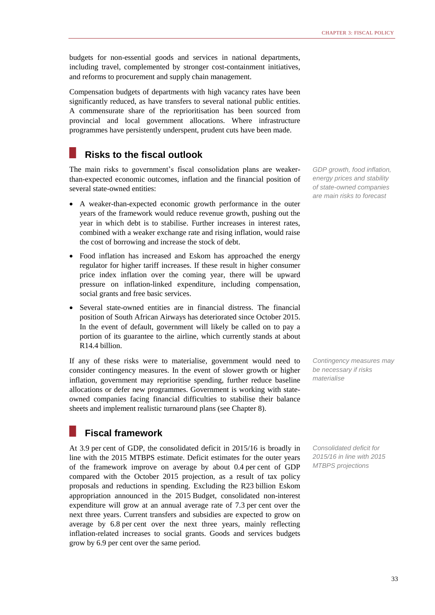budgets for non-essential goods and services in national departments, including travel, complemented by stronger cost-containment initiatives, and reforms to procurement and supply chain management.

Compensation budgets of departments with high vacancy rates have been significantly reduced, as have transfers to several national public entities. A commensurate share of the reprioritisation has been sourced from provincial and local government allocations. Where infrastructure programmes have persistently underspent, prudent cuts have been made.

## **Risks to the fiscal outlook**

The main risks to government's fiscal consolidation plans are weakerthan-expected economic outcomes, inflation and the financial position of several state-owned entities:

- A weaker-than-expected economic growth performance in the outer years of the framework would reduce revenue growth, pushing out the year in which debt is to stabilise. Further increases in interest rates, combined with a weaker exchange rate and rising inflation, would raise the cost of borrowing and increase the stock of debt.
- Food inflation has increased and Eskom has approached the energy regulator for higher tariff increases. If these result in higher consumer price index inflation over the coming year, there will be upward pressure on inflation-linked expenditure, including compensation, social grants and free basic services.
- Several state-owned entities are in financial distress. The financial position of South African Airways has deteriorated since October 2015. In the event of default, government will likely be called on to pay a portion of its guarantee to the airline, which currently stands at about R14.4 billion.

If any of these risks were to materialise, government would need to consider contingency measures. In the event of slower growth or higher inflation, government may reprioritise spending, further reduce baseline allocations or defer new programmes. Government is working with stateowned companies facing financial difficulties to stabilise their balance sheets and implement realistic turnaround plans (see Chapter 8).

## **Fiscal framework**

At 3.9 per cent of GDP, the consolidated deficit in 2015/16 is broadly in line with the 2015 MTBPS estimate. Deficit estimates for the outer years of the framework improve on average by about 0.4 per cent of GDP compared with the October 2015 projection, as a result of tax policy proposals and reductions in spending. Excluding the R23 billion Eskom appropriation announced in the 2015 Budget, consolidated non-interest expenditure will grow at an annual average rate of 7.3 per cent over the next three years. Current transfers and subsidies are expected to grow on average by 6.8 per cent over the next three years, mainly reflecting inflation-related increases to social grants. Goods and services budgets grow by 6.9 per cent over the same period.

*GDP growth, food inflation, energy prices and stability of state-owned companies are main risks to forecast*

*Contingency measures may be necessary if risks materialise*

*Consolidated deficit for 2015/16 in line with 2015 MTBPS projections*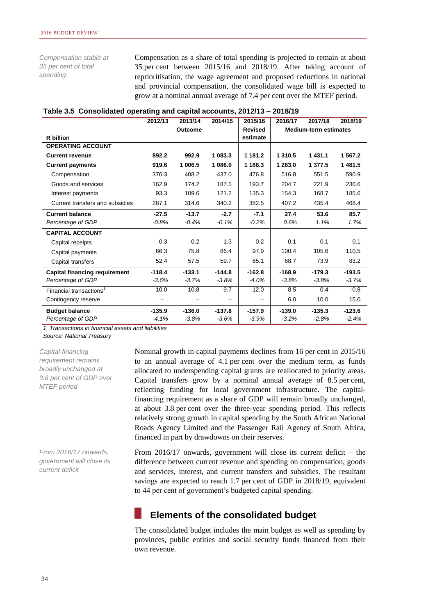*Compensation stable at 35 per cent of total spending*

Compensation as a share of total spending is projected to remain at about 35 per cent between 2015/16 and 2018/19. After taking account of reprioritisation, the wage agreement and proposed reductions in national and provincial compensation, the consolidated wage bill is expected to grow at a nominal annual average of 7.4 per cent over the MTEF period.

|                                      | 2012/13  | 2013/14  | 2014/15  | 2015/16        | 2016/17                      | 2017/18  | 2018/19  |
|--------------------------------------|----------|----------|----------|----------------|------------------------------|----------|----------|
|                                      |          | Outcome  |          | <b>Revised</b> | <b>Medium-term estimates</b> |          |          |
| <b>R</b> billion                     |          |          |          | estimate       |                              |          |          |
| <b>OPERATING ACCOUNT</b>             |          |          |          |                |                              |          |          |
| <b>Current revenue</b>               | 892.2    | 992.9    | 1 083.3  | 1 181.2        | 1 3 1 0.5                    | 1431.1   | 1 567.2  |
| <b>Current payments</b>              | 919.6    | 1 006.5  | 1 086.0  | 1 188.3        | 1 283.0                      | 1 377.5  | 1481.5   |
| Compensation                         | 376.3    | 408.2    | 437.0    | 476.8          | 516.8                        | 551.5    | 590.9    |
| Goods and services                   | 162.9    | 174.2    | 187.5    | 193.7          | 204.7                        | 221.9    | 236.6    |
| Interest payments                    | 93.3     | 109.6    | 121.2    | 135.3          | 154.3                        | 168.7    | 185.6    |
| Current transfers and subsidies      | 287.1    | 314.6    | 340.2    | 382.5          | 407.2                        | 435.4    | 468.4    |
| <b>Current balance</b>               | $-27.5$  | $-13.7$  | $-2.7$   | $-7.1$         | 27.4                         | 53.6     | 85.7     |
| Percentage of GDP                    | $-0.8%$  | $-0.4%$  | $-0.1%$  | $-0.2%$        | 0.6%                         | 1.1%     | 1.7%     |
| <b>CAPITAL ACCOUNT</b>               |          |          |          |                |                              |          |          |
| Capital receipts                     | 0.3      | 0.2      | 1.3      | 0.2            | 0.1                          | 0.1      | 0.1      |
| Capital payments                     | 66.3     | 75.8     | 86.4     | 97.9           | 100.4                        | 105.6    | 110.5    |
| Capital transfers                    | 52.4     | 57.5     | 59.7     | 65.1           | 68.7                         | 73.9     | 83.2     |
| <b>Capital financing requirement</b> | $-118.4$ | $-133.1$ | $-144.8$ | $-162.8$       | $-168.9$                     | $-179.3$ | $-193.5$ |
| Percentage of GDP                    | $-3.6%$  | $-3.7%$  | $-3.8%$  | $-4.0%$        | $-3.8%$                      | $-3.8%$  | $-3.7%$  |
| Financial transactions <sup>1</sup>  | 10.0     | 10.8     | 9.7      | 12.0           | 8.5                          | 0.4      | $-0.8$   |
| Contingency reserve                  |          |          |          |                | 6.0                          | 10.0     | 15.0     |
| <b>Budget balance</b>                | $-135.9$ | $-136.0$ | $-137.8$ | $-157.9$       | $-139.0$                     | $-135.3$ | $-123.6$ |
| Percentage of GDP                    | $-4.1%$  | $-3.8%$  | $-3.6%$  | $-3.9%$        | $-3.2%$                      | $-2.8%$  | $-2.4%$  |

#### **Table 3.5 Consolidated operating and capital accounts, 2012/13 – 2018/19**

*1. Transactions in financial assets and liabilities*

*Source: National Treasury*

*Capital-financing requirement remains broadly unchanged at 3.8 per cent of GDP over MTEF period*

*From 2016/17 onwards, government will close its current deficit*

Nominal growth in capital payments declines from 16 per cent in 2015/16 to an annual average of 4.1 per cent over the medium term, as funds allocated to underspending capital grants are reallocated to priority areas. Capital transfers grow by a nominal annual average of 8.5 per cent, reflecting funding for local government infrastructure. The capitalfinancing requirement as a share of GDP will remain broadly unchanged, at about 3.8 per cent over the three-year spending period. This reflects relatively strong growth in capital spending by the South African National Roads Agency Limited and the Passenger Rail Agency of South Africa, financed in part by drawdowns on their reserves.

From 2016/17 onwards, government will close its current deficit – the difference between current revenue and spending on compensation, goods and services, interest, and current transfers and subsidies. The resultant savings are expected to reach 1.7 per cent of GDP in 2018/19, equivalent to 44 per cent of government's budgeted capital spending.

# **Elements of the consolidated budget**

The consolidated budget includes the main budget as well as spending by provinces, public entities and social security funds financed from their own revenue.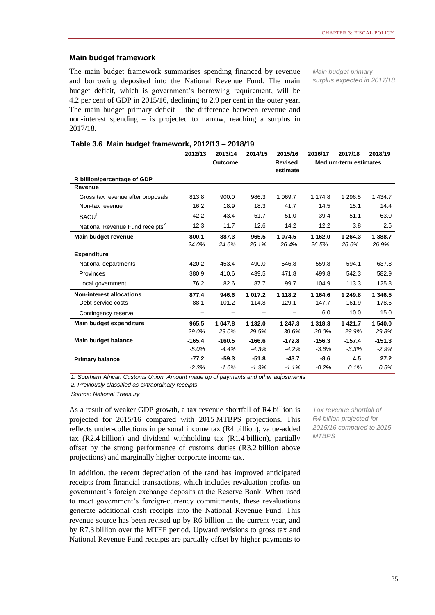## **Main budget framework**

The main budget framework summarises spending financed by revenue and borrowing deposited into the National Revenue Fund. The main budget deficit, which is government's borrowing requirement, will be 4.2 per cent of GDP in 2015/16, declining to 2.9 per cent in the outer year. The main budget primary deficit – the difference between revenue and non-interest spending – is projected to narrow, reaching a surplus in 2017/18.

*Main budget primary surplus expected in 2017/18*

|  | Table 3.6 Main budget framework, 2012/13 - 2018/19 |  |
|--|----------------------------------------------------|--|
|--|----------------------------------------------------|--|

|                                             | 2012/13  | 2013/14  | 2014/15  | 2015/16        | 2016/17  | 2017/18                      | 2018/19   |  |
|---------------------------------------------|----------|----------|----------|----------------|----------|------------------------------|-----------|--|
|                                             |          | Outcome  |          | <b>Revised</b> |          | <b>Medium-term estimates</b> |           |  |
|                                             |          |          |          | estimate       |          |                              |           |  |
| R billion/percentage of GDP                 |          |          |          |                |          |                              |           |  |
| Revenue                                     |          |          |          |                |          |                              |           |  |
| Gross tax revenue after proposals           | 813.8    | 900.0    | 986.3    | 1 0 69.7       | 1 174.8  | 1 296.5                      | 1 4 3 4.7 |  |
| Non-tax revenue                             | 16.2     | 18.9     | 18.3     | 41.7           | 14.5     | 15.1                         | 14.4      |  |
| SACU <sup>1</sup>                           | $-42.2$  | $-43.4$  | $-51.7$  | $-51.0$        | $-39.4$  | $-51.1$                      | $-63.0$   |  |
| National Revenue Fund receipts <sup>2</sup> | 12.3     | 11.7     | 12.6     | 14.2           | 12.2     | 3.8                          | 2.5       |  |
| Main budget revenue                         | 800.1    | 887.3    | 965.5    | 1 074.5        | 1 162.0  | 1 2 6 4 . 3                  | 1 388.7   |  |
|                                             | 24.0%    | 24.6%    | 25.1%    | 26.4%          | 26.5%    | 26.6%                        | 26.9%     |  |
| <b>Expenditure</b>                          |          |          |          |                |          |                              |           |  |
| National departments                        | 420.2    | 453.4    | 490.0    | 546.8          | 559.8    | 594.1                        | 637.8     |  |
| Provinces                                   | 380.9    | 410.6    | 439.5    | 471.8          | 499.8    | 542.3                        | 582.9     |  |
| Local government                            | 76.2     | 82.6     | 87.7     | 99.7           | 104.9    | 113.3                        | 125.8     |  |
| <b>Non-interest allocations</b>             | 877.4    | 946.6    | 1 017.2  | 1 1 1 8.2      | 1 164.6  | 1 249.8                      | 1 346.5   |  |
| Debt-service costs                          | 88.1     | 101.2    | 114.8    | 129.1          | 147.7    | 161.9                        | 178.6     |  |
| Contingency reserve                         |          |          |          |                | 6.0      | 10.0                         | 15.0      |  |
| Main budget expenditure                     | 965.5    | 1 047.8  | 1 132.0  | 1 247.3        | 1 318.3  | 1421.7                       | 1 540.0   |  |
|                                             | 29.0%    | 29.0%    | 29.5%    | 30.6%          | 30.0%    | 29.9%                        | 29.8%     |  |
| Main budget balance                         | $-165.4$ | $-160.5$ | $-166.6$ | $-172.8$       | $-156.3$ | $-157.4$                     | $-151.3$  |  |
|                                             | $-5.0%$  | $-4.4%$  | $-4.3%$  | $-4.2%$        | $-3.6%$  | $-3.3%$                      | $-2.9%$   |  |
| <b>Primary balance</b>                      | $-77.2$  | $-59.3$  | $-51.8$  | $-43.7$        | $-8.6$   | 4.5                          | 27.2      |  |
|                                             | $-2.3%$  | $-1.6%$  | $-1.3%$  | $-1.1%$        | $-0.2%$  | 0.1%                         | 0.5%      |  |

*1. Southern African Customs Union. Amount made up of payments and other adjustments*

*2. Previously classified as extraordinary receipts*

*Source: National Treasury*

As a result of weaker GDP growth, a tax revenue shortfall of R4 billion is projected for 2015/16 compared with 2015 MTBPS projections. This reflects under-collections in personal income tax (R4 billion), value-added tax (R2.4 billion) and dividend withholding tax (R1.4 billion), partially offset by the strong performance of customs duties (R3.2 billion above projections) and marginally higher corporate income tax.

In addition, the recent depreciation of the rand has improved anticipated receipts from financial transactions, which includes revaluation profits on government's foreign exchange deposits at the Reserve Bank. When used to meet government's foreign-currency commitments, these revaluations generate additional cash receipts into the National Revenue Fund. This revenue source has been revised up by R6 billion in the current year, and by R7.3 billion over the MTEF period. Upward revisions to gross tax and National Revenue Fund receipts are partially offset by higher payments to

*Tax revenue shortfall of R4 billion projected for 2015/16 compared to 2015 MTBPS*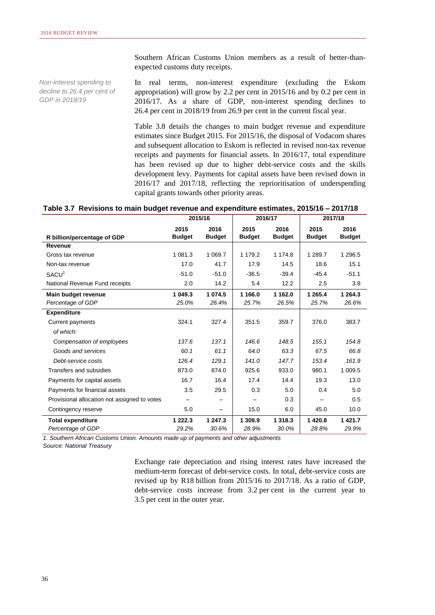Southern African Customs Union members as a result of better-thanexpected customs duty receipts.

*Non-interest spending to decline to 26.4 per cent of GDP in 2018/19*

In real terms, non-interest expenditure (excluding the Eskom appropriation) will grow by 2.2 per cent in 2015/16 and by 0.2 per cent in 2016/17. As a share of GDP, non-interest spending declines to 26.4 per cent in 2018/19 from 26.9 per cent in the current fiscal year.

Table 3.8 details the changes to main budget revenue and expenditure estimates since Budget 2015. For 2015/16, the disposal of Vodacom shares and subsequent allocation to Eskom is reflected in revised non-tax revenue receipts and payments for financial assets. In 2016/17, total expenditure has been revised up due to higher debt-service costs and the skills development levy. Payments for capital assets have been revised down in 2016/17 and 2017/18, reflecting the reprioritisation of underspending capital grants towards other priority areas.

|  | Table 3.7 Revisions to main budget revenue and expenditure estimates, 2015/16 - 2017/18 |  |  |
|--|-----------------------------------------------------------------------------------------|--|--|
|  |                                                                                         |  |  |

|                                              | 2015/16               |                       | 2016/17               |                       | 2017/18               |                       |
|----------------------------------------------|-----------------------|-----------------------|-----------------------|-----------------------|-----------------------|-----------------------|
| R billion/percentage of GDP                  | 2015<br><b>Budget</b> | 2016<br><b>Budget</b> | 2015<br><b>Budget</b> | 2016<br><b>Budget</b> | 2015<br><b>Budget</b> | 2016<br><b>Budget</b> |
| Revenue                                      |                       |                       |                       |                       |                       |                       |
| Gross tax revenue                            | 1 081.3               | 1 0 69.7              | 1 179.2               | 1 174.8               | 1 289.7               | 1 296.5               |
| Non-tax revenue                              | 17.0                  | 41.7                  | 17.9                  | 14.5                  | 18.6                  | 15.1                  |
| SACU <sup>1</sup>                            | $-51.0$               | $-51.0$               | $-36.5$               | $-39.4$               | $-45.4$               | $-51.1$               |
| National Revenue Fund receipts               | 2.0                   | 14.2                  | 5.4                   | 12.2                  | 2.5                   | 3.8                   |
| Main budget revenue<br>Percentage of GDP     | 1 049.3<br>25.0%      | 1 074.5<br>26.4%      | 1 166.0<br>25.7%      | 1 162.0<br>26.5%      | 1 265.4<br>25.7%      | 1 264.3<br>26.6%      |
| <b>Expenditure</b>                           |                       |                       |                       |                       |                       |                       |
| Current payments                             | 324.1                 | 327.4                 | 351.5                 | 359.7                 | 376.0                 | 383.7                 |
| of which:                                    |                       |                       |                       |                       |                       |                       |
| Compensation of employees                    | 137.6                 | 137.1                 | 146.6                 | 148.5                 | 155.1                 | 154.8                 |
| Goods and services                           | 60.1                  | 61.1                  | 64.0                  | 63.3                  | 67.5                  | 66.8                  |
| Debt-service costs                           | 126.4                 | 129.1                 | 141.0                 | 147.7                 | 153.4                 | 161.9                 |
| Transfers and subsidies                      | 873.0                 | 874.0                 | 925.6                 | 933.0                 | 980.1                 | 1 009.5               |
| Payments for capital assets                  | 16.7                  | 16.4                  | 17.4                  | 14.4                  | 19.3                  | 13.0                  |
| Payments for financial assets                | 3.5                   | 29.5                  | 0.3                   | 5.0                   | 0.4                   | 5.0                   |
| Provisional allocation not assigned to votes | —                     |                       |                       | 0.3                   |                       | 0.5                   |
| Contingency reserve                          | 5.0                   |                       | 15.0                  | 6.0                   | 45.0                  | 10.0                  |
| <b>Total expenditure</b>                     | 1 2 2 2 . 3           | 1 247.3               | 1 309.9               | 1 3 1 8 . 3           | 1420.8                | 1 4 2 1 . 7           |
| Percentage of GDP                            | 29.2%                 | 30.6%                 | 28.9%                 | 30.0%                 | 28.8%                 | 29.9%                 |

*1. Southern African Customs Union. Amounts made up of payments and other adjustments*

*Source: National Treasury*

Exchange rate depreciation and rising interest rates have increased the medium-term forecast of debt-service costs. In total, debt-service costs are revised up by R18 billion from 2015/16 to 2017/18. As a ratio of GDP, debt-service costs increase from 3.2 per cent in the current year to 3.5 per cent in the outer year.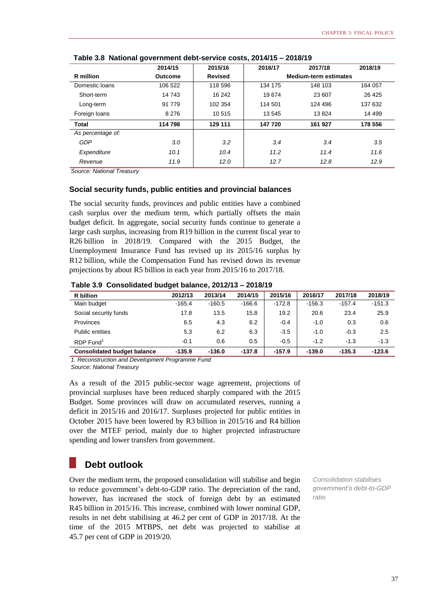|                   | 2014/15 | 2015/16        | 2016/17                      | 2017/18 | 2018/19  |
|-------------------|---------|----------------|------------------------------|---------|----------|
| R million         | Outcome | <b>Revised</b> | <b>Medium-term estimates</b> |         |          |
| Domestic loans    | 106 522 | 118 596        | 134 175                      | 148 103 | 164 057  |
| Short-term        | 14 743  | 16 242         | 19674                        | 23 607  | 26 4 25  |
| Long-term         | 91 779  | 102 354        | 114 501                      | 124 496 | 137 632  |
| Foreign loans     | 8 2 7 6 | 10 515         | 13 545                       | 13824   | 14 4 9 9 |
| <b>Total</b>      | 114798  | 129 111        | 147 720                      | 161 927 | 178 556  |
| As percentage of: |         |                |                              |         |          |
| GDP               | 3.0     | 3.2            | 3.4                          | 3.4     | 3.5      |
| Expenditure       | 10.1    | 10.4           | 11.2                         | 11.4    | 11.6     |
| Revenue           | 11.9    | 12.0           | 12.7                         | 12.8    | 12.9     |

**Table 3.8 National government debt-service costs, 2014/15 – 2018/19**

*Source: National Treasury*

## **Social security funds, public entities and provincial balances**

The social security funds, provinces and public entities have a combined cash surplus over the medium term, which partially offsets the main budget deficit. In aggregate, social security funds continue to generate a large cash surplus, increasing from R19 billion in the current fiscal year to R26 billion in 2018/19. Compared with the 2015 Budget, the Unemployment Insurance Fund has revised up its 2015/16 surplus by R12 billion, while the Compensation Fund has revised down its revenue projections by about R5 billion in each year from 2015/16 to 2017/18.

**Table 3.9 Consolidated budget balance, 2012/13 – 2018/19**

| <b>R</b> billion                   | 2012/13  | 2013/14  | 2014/15  | 2015/16  | 2016/17  | 2017/18  | 2018/19  |
|------------------------------------|----------|----------|----------|----------|----------|----------|----------|
| Main budget                        | $-165.4$ | $-160.5$ | $-166.6$ | $-172.8$ | $-156.3$ | $-157.4$ | $-151.3$ |
| Social security funds              | 17.8     | 13.5     | 15.8     | 19.2     | 20.6     | 23.4     | 25.9     |
| Provinces                          | 6.5      | 4.3      | 6.2      | $-0.4$   | $-1.0$   | 0.3      | 0.6      |
| <b>Public entities</b>             | 5.3      | 6.2      | 6.3      | $-3.5$   | $-1.0$   | $-0.3$   | 2.5      |
| $RDP$ Fund <sup>1</sup>            | $-0.1$   | 0.6      | 0.5      | $-0.5$   | $-1.2$   | $-1.3$   | $-1.3$   |
| <b>Consolidated budget balance</b> | $-135.9$ | $-136.0$ | $-137.8$ | $-157.9$ | $-139.0$ | $-135.3$ | $-123.6$ |

*1. Reconstruction and Development Programme Fund*

*Source: National Treasury*

As a result of the 2015 public-sector wage agreement, projections of provincial surpluses have been reduced sharply compared with the 2015 Budget. Some provinces will draw on accumulated reserves, running a deficit in 2015/16 and 2016/17. Surpluses projected for public entities in October 2015 have been lowered by R3 billion in 2015/16 and R4 billion over the MTEF period, mainly due to higher projected infrastructure spending and lower transfers from government.

# **Debt outlook**

Over the medium term, the proposed consolidation will stabilise and begin to reduce government's debt-to-GDP ratio. The depreciation of the rand, however, has increased the stock of foreign debt by an estimated R45 billion in 2015/16. This increase, combined with lower nominal GDP, results in net debt stabilising at 46.2 per cent of GDP in 2017/18. At the time of the 2015 MTBPS, net debt was projected to stabilise at 45.7 per cent of GDP in 2019/20.

*Consolidation stabilises government's debt-to-GDP ratio*